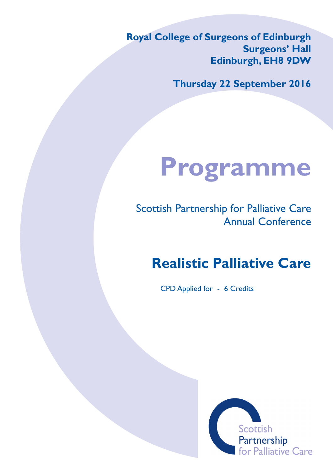**Royal College of Surgeons of Edinburgh Surgeons' Hall Edinburgh, EH8 9DW**

**Thursday 22 September 2016**

# **Programme**

Scottish Partnership for Palliative Care Annual Conference

## **Realistic Palliative Care**

CPD Applied for - 6 Credits

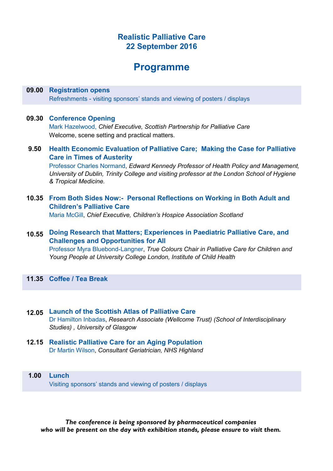#### **Realistic Palliative Care 22 September 2016**

### **Programme**

#### **09.00 Registration opens**

Refreshments - visiting sponsors' stands and viewing of posters / displays

#### **09.30 Conference Opening**

Mark Hazelwood, *Chief Executive, Scottish Partnership for Palliative Care* Welcome, scene setting and practical matters.

**9.50 Health Economic Evaluation of Palliative Care; Making the Case for Palliative Care in Times of Austerity**

Professor Charles Normand, *Edward Kennedy Professor of Health Policy and Management, University of Dublin, Trinity College and visiting professor at the London School of Hygiene & Tropical Medicine.*

**10.35 From Both Sides Now:- Personal Reflections on Working in Both Adult and Children's Palliative Care**

Maria McGill, *Chief Executive, Children's Hospice Association Scotland*

#### **10.55 Doing Research that Matters; Experiences in Paediatric Palliative Care, and Challenges and Opportunities for All**

Professor Myra Bluebond-Langner, *True Colours Chair in Palliative Care for Children and Young People at University College London, Institute of Child Health*

**11.35 Coffee / Tea Break**

- **12.05 Launch of the Scottish Atlas of Palliative Care** Dr Hamilton Inbadas, *Research Associate (Wellcome Trust) (School of Interdisciplinary Studies) , University of Glasgow*
- **12.15 Realistic Palliative Care for an Aging Population** Dr Martin Wilson, *Consultant Geriatrician, NHS Highland*
- **1.00 Lunch**  Visiting sponsors' stands and viewing of posters / displays

*The conference is being sponsored by pharmaceutical companies who will be present on the day with exhibition stands, please ensure to visit them.*